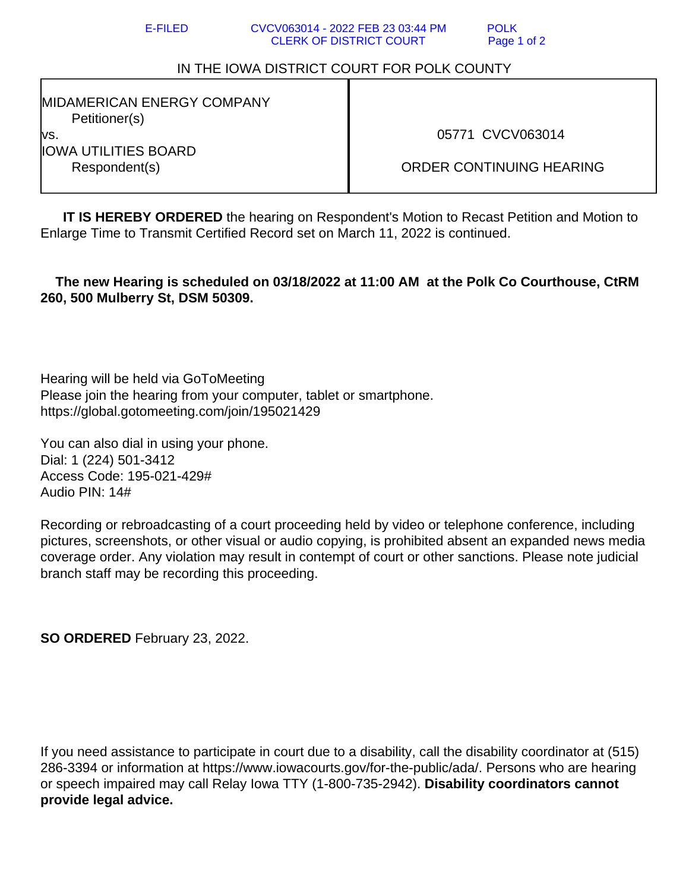## IN THE IOWA DISTRICT COURT FOR POLK COUNTY

MIDAMERICAN ENERGY COMPANY Petitioner(s) vs. IOWA UTILITIES BOARD Respondent(s)

05771 CVCV063014

ORDER CONTINUING HEARING

**IT IS HEREBY ORDERED** the hearing on Respondent's Motion to Recast Petition and Motion to Enlarge Time to Transmit Certified Record set on March 11, 2022 is continued.

 **The new Hearing is scheduled on 03/18/2022 at 11:00 AM at the Polk Co Courthouse, CtRM 260, 500 Mulberry St, DSM 50309.**

Hearing will be held via GoToMeeting Please join the hearing from your computer, tablet or smartphone. https://global.gotomeeting.com/join/195021429

You can also dial in using your phone. Dial: 1 (224) 501-3412 Access Code: 195-021-429# Audio PIN: 14#

Recording or rebroadcasting of a court proceeding held by video or telephone conference, including pictures, screenshots, or other visual or audio copying, is prohibited absent an expanded news media coverage order. Any violation may result in contempt of court or other sanctions. Please note judicial branch staff may be recording this proceeding.

**SO ORDERED** February 23, 2022.

If you need assistance to participate in court due to a disability, call the disability coordinator at (515) 286-3394 or information at https://www.iowacourts.gov/for-the-public/ada/. Persons who are hearing or speech impaired may call Relay Iowa TTY (1-800-735-2942). **Disability coordinators cannot provide legal advice.**